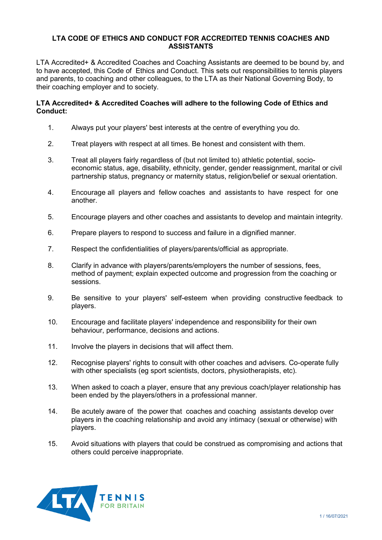## **LTA CODE OF ETHICS AND CONDUCT FOR ACCREDITED TENNIS COACHES AND ASSISTANTS**

LTA Accredited+ & Accredited Coaches and Coaching Assistants are deemed to be bound by, and to have accepted, this Code of Ethics and Conduct. This sets out responsibilities to tennis players and parents, to coaching and other colleagues, to the LTA as their National Governing Body, to their coaching employer and to society.

## **LTA Accredited+ & Accredited Coaches will adhere to the following Code of Ethics and Conduct:**

- 1. Always put your players' best interests at the centre of everything you do.
- 2. Treat players with respect at all times. Be honest and consistent with them.
- 3. Treat all players fairly regardless of (but not limited to) athletic potential, socioeconomic status, age, disability, ethnicity, gender, gender reassignment, marital or civil partnership status, pregnancy or maternity status, religion/belief or sexual orientation.
- 4. Encourage all players and fellow coaches and assistants to have respect for one another.
- 5. Encourage players and other coaches and assistants to develop and maintain integrity.
- 6. Prepare players to respond to success and failure in a dignified manner.
- 7. Respect the confidentialities of players/parents/official as appropriate.
- 8. Clarify in advance with players/parents/employers the number of sessions, fees, method of payment; explain expected outcome and progression from the coaching or sessions.
- 9. Be sensitive to your players' self-esteem when providing constructive feedback to players.
- 10. Encourage and facilitate players' independence and responsibility for their own behaviour, performance, decisions and actions.
- 11. Involve the players in decisions that will affect them.
- 12. Recognise players' rights to consult with other coaches and advisers. Co-operate fully with other specialists (eg sport scientists, doctors, physiotherapists, etc).
- 13. When asked to coach a player, ensure that any previous coach/player relationship has been ended by the players/others in a professional manner.
- 14. Be acutely aware of the power that coaches and coaching assistants develop over players in the coaching relationship and avoid any intimacy (sexual or otherwise) with players.
- 15. Avoid situations with players that could be construed as compromising and actions that others could perceive inappropriate.